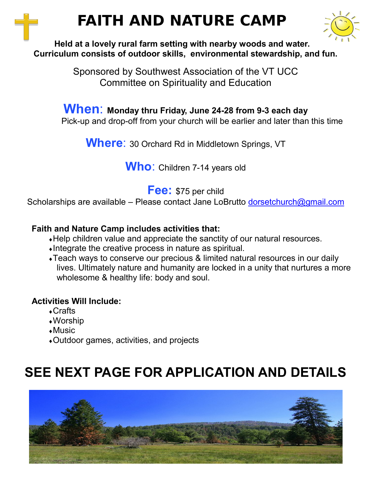# **FAITH AND NATURE CAMP**



#### **Held at a lovely rural farm setting with nearby woods and water. Curriculum consists of outdoor skills, environmental stewardship, and fun.**

Sponsored by Southwest Association of the VT UCC Committee on Spirituality and Education

#### **When**: **Monday thru Friday, June 24-28 from 9-3 each day** Pick-up and drop-off from your church will be earlier and later than this time

**Where**: 30 Orchard Rd in Middletown Springs, VT

**Who**: Children 7-14 years old

**Fee:** \$75 per child

Scholarships are available – Please contact Jane LoBrutto [dorsetchurch@gmail.com](mailto:dorsetchurch@gmail.com)

#### **Faith and Nature Camp includes activities that:**

- Help children value and appreciate the sanctity of our natural resources.
- Integrate the creative process in nature as spiritual.
- Teach ways to conserve our precious & limited natural resources in our daily lives. Ultimately nature and humanity are locked in a unity that nurtures a more wholesome & healthy life: body and soul.

#### **Activities Will Include:**

- Crafts
- Worship
- Music
- Outdoor games, activities, and projects

## **SEE NEXT PAGE FOR APPLICATION AND DETAILS**